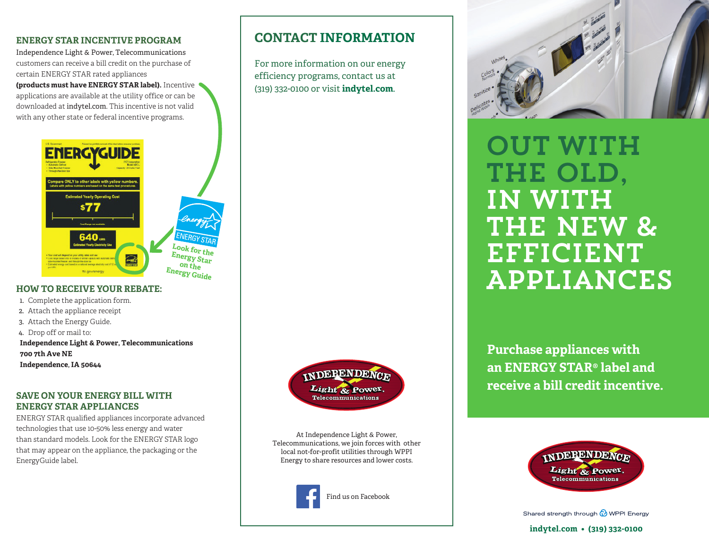# **ENERGY STAR INCENTIVE PROGRAM**

Independence Light & Power, Telecommunications customers can receive a bill credit on the purchase of certain ENERGY STAR rated appliances

**(products must have ENERGY STAR label).** Incentive applications are available at the utility office or can be downloaded at indytel.com. This incentive is not valid with any other state or federal incentive programs.



### **HOW TO RECEIVE YOUR REBATE:**

- 1. Complete the application form.
- 2. Attach the appliance receipt
- 3. Attach the Energy Guide.
- 4. Drop off or mail to:
- **Independence Light & Power, Telecommunications 700 7th Ave NE Independence, IA 50644**

# **SAVE ON YOUR ENERGY BILL WITH ENERGY STAR APPLIANCES**

ENERGY STAR qualified appliances incorporate advanced technologies that use 10-50% less energy and water than standard models. Look for the ENERGY STAR logo that may appear on the appliance, the packaging or the EnergyGuide label.



**CONTACT INFORMATION**

For more information on our energy efficiency programs, contact us at (319) 332-0100 or visit **indytel.com**.

> At Independence Light & Power, Telecommunications, we join forces with other local not-for-profit utilities through WPPI Energy to share resources and lower costs.





**OUT WITH** the Old, in with THE NEW & EFFICIENT Appliances

**Purchase appliances with an ENERGY STAR® label and receive a bill credit incentive.**



Shared strength through @ WPPI Energy

#### **indytel.com • (319) 332-0100**